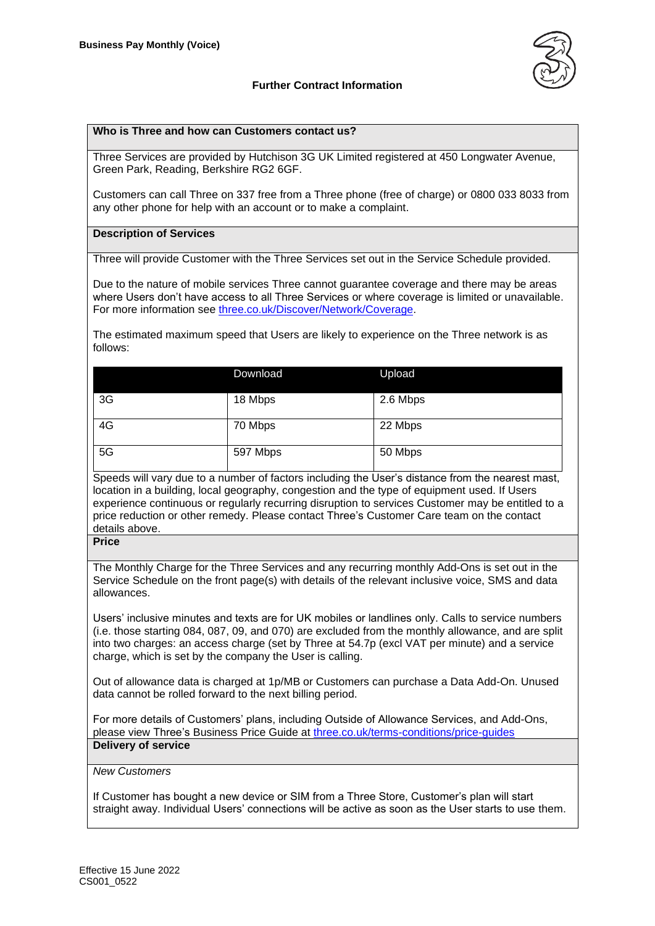

## **Further Contract Information**

#### **Who is Three and how can Customers contact us?**

Three Services are provided by Hutchison 3G UK Limited registered at 450 Longwater Avenue, Green Park, Reading, Berkshire RG2 6GF.

Customers can call Three on 337 free from a Three phone (free of charge) or 0800 033 8033 from any other phone for help with an account or to make a complaint.

#### **Description of Services**

Three will provide Customer with the Three Services set out in the Service Schedule provided.

Due to the nature of mobile services Three cannot guarantee coverage and there may be areas where Users don't have access to all Three Services or where coverage is limited or unavailable. For more information see [three.co.uk/Discover/Network/Coverage.](http://www.three.co.uk/Discover/Network/Coverage)

The estimated maximum speed that Users are likely to experience on the Three network is as follows:

|    | Download | Upload   |
|----|----------|----------|
| 3G | 18 Mbps  | 2.6 Mbps |
| 4G | 70 Mbps  | 22 Mbps  |
| 5G | 597 Mbps | 50 Mbps  |

Speeds will vary due to a number of factors including the User's distance from the nearest mast, location in a building, local geography, congestion and the type of equipment used. If Users experience continuous or regularly recurring disruption to services Customer may be entitled to a price reduction or other remedy. Please contact Three's Customer Care team on the contact details above.

**Price**

The Monthly Charge for the Three Services and any recurring monthly Add-Ons is set out in the Service Schedule on the front page(s) with details of the relevant inclusive voice, SMS and data allowances.

Users' inclusive minutes and texts are for UK mobiles or landlines only. Calls to service numbers (i.e. those starting 084, 087, 09, and 070) are excluded from the monthly allowance, and are split into two charges: an access charge (set by Three at 54.7p (excl VAT per minute) and a service charge, which is set by the company the User is calling.

Out of allowance data is charged at 1p/MB or Customers can purchase a Data Add-On. Unused data cannot be rolled forward to the next billing period.

For more details of Customers' plans, including Outside of Allowance Services, and Add-Ons, please view Three's Business Price Guide at [three.co.uk/terms-conditions/price-guides](http://www.three.co.uk/terms-conditions/price-guides) **Delivery of service**

#### *New Customers*

If Customer has bought a new device or SIM from a Three Store, Customer's plan will start straight away. Individual Users' connections will be active as soon as the User starts to use them.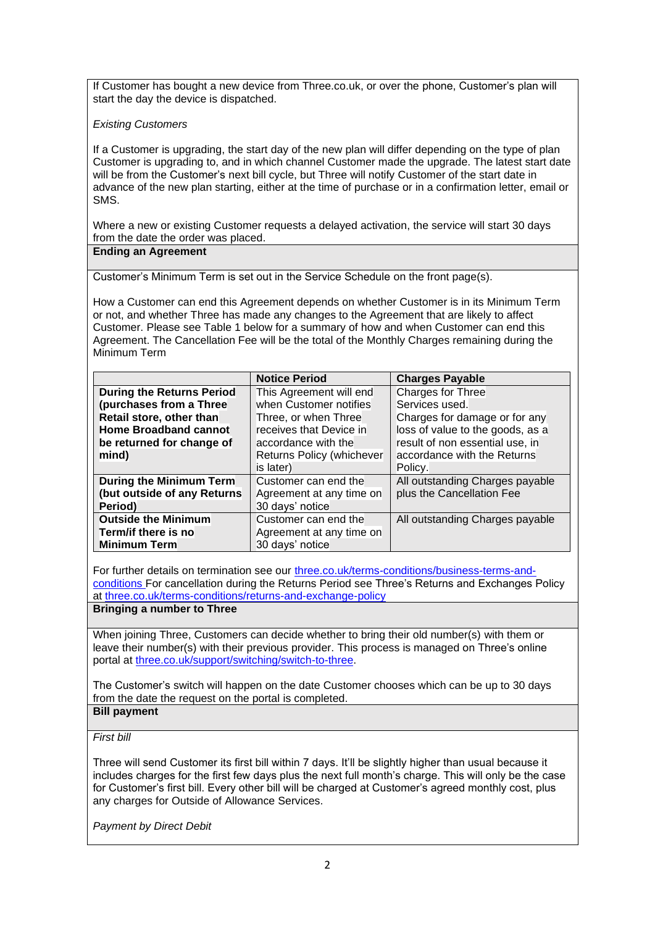If Customer has bought a new device from Three.co.uk, or over the phone, Customer's plan will start the day the device is dispatched.

# *Existing Customers*

If a Customer is upgrading, the start day of the new plan will differ depending on the type of plan Customer is upgrading to, and in which channel Customer made the upgrade. The latest start date will be from the Customer's next bill cycle, but Three will notify Customer of the start date in advance of the new plan starting, either at the time of purchase or in a confirmation letter, email or SMS.

Where a new or existing Customer requests a delayed activation, the service will start 30 days from the date the order was placed.

## **Ending an Agreement**

Customer's Minimum Term is set out in the Service Schedule on the front page(s).

How a Customer can end this Agreement depends on whether Customer is in its Minimum Term or not, and whether Three has made any changes to the Agreement that are likely to affect Customer. Please see Table 1 below for a summary of how and when Customer can end this Agreement. The Cancellation Fee will be the total of the Monthly Charges remaining during the Minimum Term

|                                  | <b>Notice Period</b>      | <b>Charges Payable</b>           |
|----------------------------------|---------------------------|----------------------------------|
| <b>During the Returns Period</b> | This Agreement will end   | Charges for Three                |
| (purchases from a Three          | when Customer notifies    | Services used.                   |
| Retail store, other than         | Three, or when Three      | Charges for damage or for any    |
| <b>Home Broadband cannot</b>     | receives that Device in   | loss of value to the goods, as a |
| be returned for change of        | accordance with the       | result of non essential use, in  |
| mind)                            | Returns Policy (whichever | accordance with the Returns      |
|                                  | is later)                 | Policy.                          |
| <b>During the Minimum Term</b>   | Customer can end the      | All outstanding Charges payable  |
| (but outside of any Returns      | Agreement at any time on  | plus the Cancellation Fee        |
| Period)                          | 30 days' notice           |                                  |
| <b>Outside the Minimum</b>       | Customer can end the      | All outstanding Charges payable  |
| Term/if there is no              | Agreement at any time on  |                                  |
| <b>Minimum Term</b>              | 30 days' notice           |                                  |

For further details on termination see our [three.co.uk/terms-conditions/business-terms-and](http://www.three.co.uk/terms-conditions/business-terms-and-conditions)[conditions](http://www.three.co.uk/terms-conditions/business-terms-and-conditions) For cancellation during the Returns Period see Three's Returns and Exchanges Policy at [three.co.uk/terms-conditions/returns-and-exchange-policy](http://www.three.co.uk/terms-conditions/returns-and-exchange-policy)

## **Bringing a number to Three**

When joining Three, Customers can decide whether to bring their old number(s) with them or leave their number(s) with their previous provider. This process is managed on Three's online portal at [three.co.uk/support/switching/switch-to-three.](https://www.three.co.uk/support/switching/switch-to-three)

The Customer's switch will happen on the date Customer chooses which can be up to 30 days from the date the request on the portal is completed. **Bill payment**

## *First bill*

Three will send Customer its first bill within 7 days. It'll be slightly higher than usual because it includes charges for the first few days plus the next full month's charge. This will only be the case for Customer's first bill. Every other bill will be charged at Customer's agreed monthly cost, plus any charges for Outside of Allowance Services.

*Payment by Direct Debit*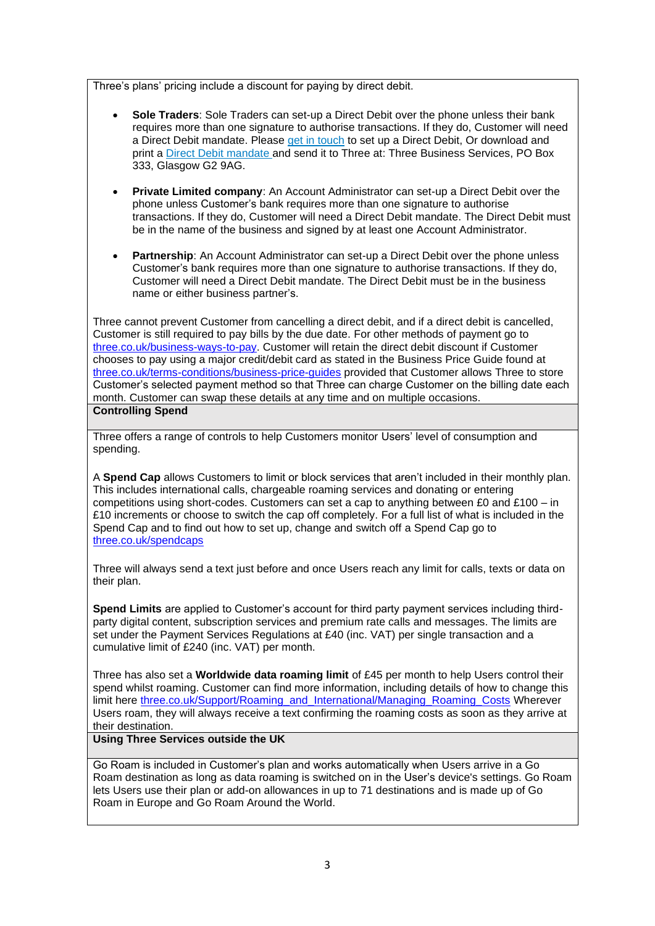Three's plans' pricing include a discount for paying by direct debit.

- **Sole Traders**: Sole Traders can set-up a Direct Debit over the phone unless their bank requires more than one signature to authorise transactions. If they do, Customer will need a Direct Debit mandate. Please [get in touch](http://www.three.co.uk/businesshelp) to set up a Direct Debit, Or download and print a [Direct Debit mandate](http://support.three.co.uk/mobiledocs/Support/General_help/Pdfs/direct_debit_form.pdf) and send it to Three at: Three Business Services, PO Box 333, Glasgow G2 9AG.
- **Private Limited company**: An Account Administrator can set-up a Direct Debit over the phone unless Customer's bank requires more than one signature to authorise transactions. If they do, Customer will need a Direct Debit mandate. The Direct Debit must be in the name of the business and signed by at least one Account Administrator.
- **Partnership:** An Account Administrator can set-up a Direct Debit over the phone unless Customer's bank requires more than one signature to authorise transactions. If they do, Customer will need a Direct Debit mandate. The Direct Debit must be in the business name or either business partner's.

Three cannot prevent Customer from cancelling a direct debit, and if a direct debit is cancelled, Customer is still required to pay bills by the due date. For other methods of payment go to [three.co.uk/business-ways-to-pay.](http://support.three.co.uk/SRVS/CGI-BIN/WEBISAPI.dll/,/?New,Kb=Mobile,Ts=Mobile,T=CaseDoc,VARSET_BusinesshelpbckDisp=1,VARSET_CatID=2136,Case=obj(1997)) Customer will retain the direct debit discount if Customer chooses to pay using a major credit/debit card as stated in the Business Price Guide found at [three.co.uk/terms-conditions/business-price-guides](http://www.three.co.uk/terms-conditions/business-price-guides) provided that Customer allows Three to store Customer's selected payment method so that Three can charge Customer on the billing date each month. Customer can swap these details at any time and on multiple occasions. **Controlling Spend**

Three offers a range of controls to help Customers monitor Users' level of consumption and spending.

A **Spend Cap** allows Customers to limit or block services that aren't included in their monthly plan. This includes international calls, chargeable roaming services and donating or entering competitions using short-codes. Customers can set a cap to anything between £0 and £100 – in £10 increments or choose to switch the cap off completely. For a full list of what is included in the Spend Cap and to find out how to set up, change and switch off a Spend Cap go to [three.co.uk/spendcaps](https://support.three.co.uk/SRVS/CGI-BIN/WEBISAPI.DLL?Command=New,Kb=Mobile,Ts=Mobile,T=Article,varset_cat=billing,varset_subcat=3770,Case=obj(31394))

Three will always send a text just before and once Users reach any limit for calls, texts or data on their plan.

**Spend Limits** are applied to Customer's account for third party payment services including thirdparty digital content, subscription services and premium rate calls and messages. The limits are set under the Payment Services Regulations at £40 (inc. VAT) per single transaction and a cumulative limit of £240 (inc. VAT) per month.

Three has also set a **Worldwide data roaming limit** of £45 per month to help Users control their spend whilst roaming. Customer can find more information, including details of how to change this limit here [three.co.uk/Support/Roaming\\_and\\_International/Managing\\_Roaming\\_Costs](https://www.three.co.uk/Support/Roaming_and_International/Managing_Roaming_Costs) Wherever Users roam, they will always receive a text confirming the roaming costs as soon as they arrive at their destination.

## **Using Three Services outside the UK**

Go Roam is included in Customer's plan and works automatically when Users arrive in a Go Roam destination as long as data roaming is switched on in the User's device's settings. Go Roam lets Users use their plan or add-on allowances in up to 71 destinations and is made up of Go Roam in Europe and Go Roam Around the World.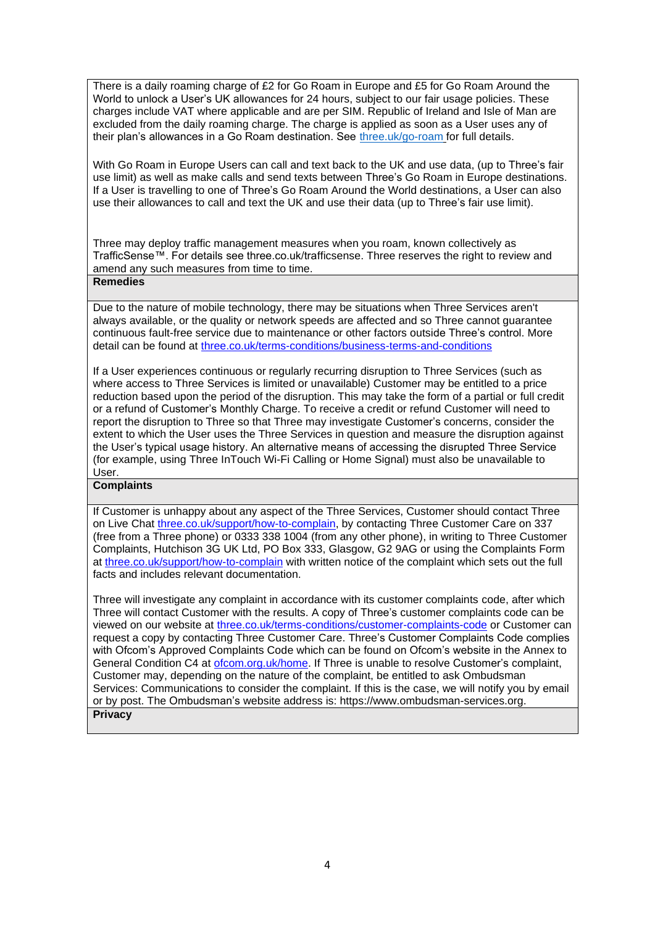There is a daily roaming charge of £2 for Go Roam in Europe and £5 for Go Roam Around the World to unlock a User's UK allowances for 24 hours, subject to our fair usage policies. These charges include VAT where applicable and are per SIM. Republic of Ireland and Isle of Man are excluded from the daily roaming charge. The charge is applied as soon as a User uses any of their plan's allowances in a Go Roam destination. See [three.uk/go-roam](http://www.three.uk/go-roam) for full details.

With Go Roam in Europe Users can call and text back to the UK and use data, (up to Three's fair use limit) as well as make calls and send texts between Three's Go Roam in Europe destinations. If a User is travelling to one of Three's Go Roam Around the World destinations, a User can also use their allowances to call and text the UK and use their data (up to Three's fair use limit).

Three may deploy traffic management measures when you roam, known collectively as TrafficSense™. For details see three.co.uk/trafficsense. Three reserves the right to review and amend any such measures from time to time.

### **Remedies**

Due to the nature of mobile technology, there may be situations when Three Services aren't always available, or the quality or network speeds are affected and so Three cannot guarantee continuous fault-free service due to maintenance or other factors outside Three's control. More detail can be found at [three.co.uk/terms-conditions/business-terms-and-conditions](http://www.three.co.uk/terms-conditions/business-terms-and-conditions)

If a User experiences continuous or regularly recurring disruption to Three Services (such as where access to Three Services is limited or unavailable) Customer may be entitled to a price reduction based upon the period of the disruption. This may take the form of a partial or full credit or a refund of Customer's Monthly Charge. To receive a credit or refund Customer will need to report the disruption to Three so that Three may investigate Customer's concerns, consider the extent to which the User uses the Three Services in question and measure the disruption against the User's typical usage history. An alternative means of accessing the disrupted Three Service (for example, using Three InTouch Wi-Fi Calling or Home Signal) must also be unavailable to User.

#### **Complaints**

If Customer is unhappy about any aspect of the Three Services, Customer should contact Three on Live Chat [three.co.uk/support/how-to-complain,](http://www.three.co.uk/support/how-to-complain) by contacting Three Customer Care on 337 (free from a Three phone) or 0333 338 1004 (from any other phone), in writing to Three Customer Complaints, Hutchison 3G UK Ltd, PO Box 333, Glasgow, G2 9AG or using the Complaints Form at [three.co.uk/support/how-to-complain](http://www.three.co.uk/support/how-to-complain) with written notice of the complaint which sets out the full facts and includes relevant documentation.

Three will investigate any complaint in accordance with its customer complaints code, after which Three will contact Customer with the results. A copy of Three's customer complaints code can be viewed on our website at [three.co.uk/terms-conditions/customer-complaints-code](http://www.three.co.uk/terms-conditions/customer-complaints-code) or Customer can request a copy by contacting Three Customer Care. Three's Customer Complaints Code complies with Ofcom's Approved Complaints Code which can be found on Ofcom's website in the Annex to General Condition C4 at [ofcom.org.uk/home.](https://www.ofcom.org.uk/home) If Three is unable to resolve Customer's complaint, Customer may, depending on the nature of the complaint, be entitled to ask Ombudsman Services: Communications to consider the complaint. If this is the case, we will notify you by email or by post. The Ombudsman's website address is: [https://www.ombudsman-services.org.](https://www.ombudsman-services.org/) **Privacy**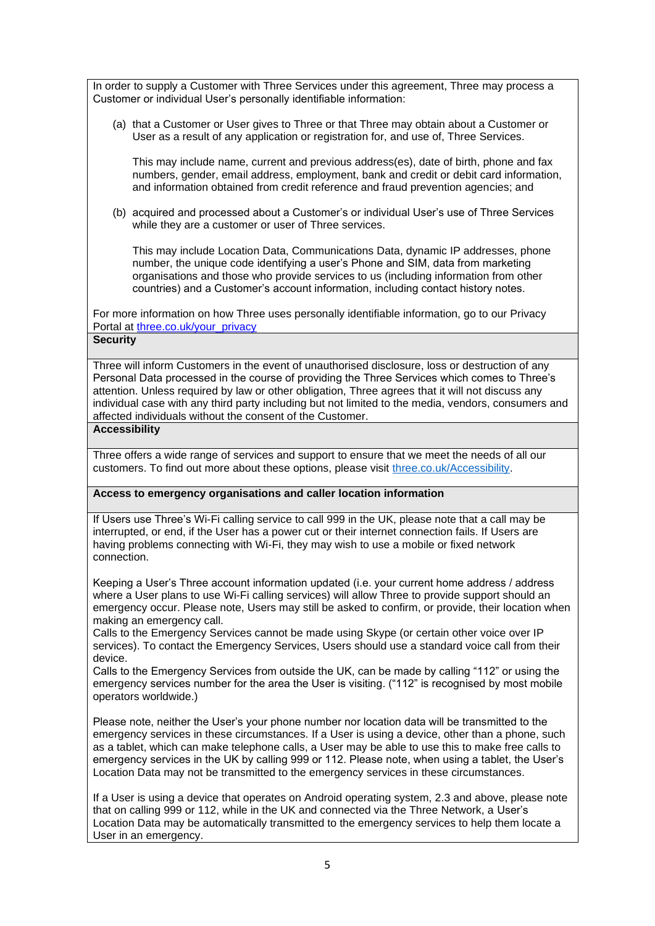In order to supply a Customer with Three Services under this agreement, Three may process a Customer or individual User's personally identifiable information:

(a) that a Customer or User gives to Three or that Three may obtain about a Customer or User as a result of any application or registration for, and use of, Three Services.

This may include name, current and previous address(es), date of birth, phone and fax numbers, gender, email address, employment, bank and credit or debit card information, and information obtained from credit reference and fraud prevention agencies; and

(b) acquired and processed about a Customer's or individual User's use of Three Services while they are a customer or user of Three services.

This may include Location Data, Communications Data, dynamic IP addresses, phone number, the unique code identifying a user's Phone and SIM, data from marketing organisations and those who provide services to us (including information from other countries) and a Customer's account information, including contact history notes.

For more information on how Three uses personally identifiable information, go to our Privacy Portal at [three.co.uk/your\\_privacy](https://eur01.safelinks.protection.outlook.com/?url=http%3A%2F%2Fwww.three.co.uk%2Fyour_privacy&data=04%7C01%7CKate.Oleary%40three.co.uk%7C0dcc5c62d25049fd6c8c08d9fd59d343%7Ca095b75b77a24e28afc227edd1d6b0ab%7C1%7C0%7C637819384511047150%7CUnknown%7CTWFpbGZsb3d8eyJWIjoiMC4wLjAwMDAiLCJQIjoiV2luMzIiLCJBTiI6Ik1haWwiLCJXVCI6Mn0%3D%7C3000&sdata=ZvwWLVNAk30KZ1ZselaNG9piNG3wcCX1dRIm8%2FlnUqg%3D&reserved=0)

### **Security**

Three will inform Customers in the event of unauthorised disclosure, loss or destruction of any Personal Data processed in the course of providing the Three Services which comes to Three's attention. Unless required by law or other obligation, Three agrees that it will not discuss any individual case with any third party including but not limited to the media, vendors, consumers and affected individuals without the consent of the Customer.

#### **Accessibility**

Three offers a wide range of services and support to ensure that we meet the needs of all our customers. To find out more about these options, please visit [three.co.uk/Accessibility.](http://www.three.co.uk/Accessibility)

### **Access to emergency organisations and caller location information**

If Users use Three's Wi-Fi calling service to call 999 in the UK, please note that a call may be interrupted, or end, if the User has a power cut or their internet connection fails. If Users are having problems connecting with Wi-Fi, they may wish to use a mobile or fixed network connection.

Keeping a User's Three account information updated (i.e. your current home address / address where a User plans to use Wi-Fi calling services) will allow Three to provide support should an emergency occur. Please note, Users may still be asked to confirm, or provide, their location when making an emergency call.

Calls to the Emergency Services cannot be made using Skype (or certain other voice over IP services). To contact the Emergency Services, Users should use a standard voice call from their device.

Calls to the Emergency Services from outside the UK, can be made by calling "112" or using the emergency services number for the area the User is visiting. ("112" is recognised by most mobile operators worldwide.)

Please note, neither the User's your phone number nor location data will be transmitted to the emergency services in these circumstances. If a User is using a device, other than a phone, such as a tablet, which can make telephone calls, a User may be able to use this to make free calls to emergency services in the UK by calling 999 or 112. Please note, when using a tablet, the User's Location Data may not be transmitted to the emergency services in these circumstances.

If a User is using a device that operates on Android operating system, 2.3 and above, please note that on calling 999 or 112, while in the UK and connected via the Three Network, a User's Location Data may be automatically transmitted to the emergency services to help them locate a User in an emergency.